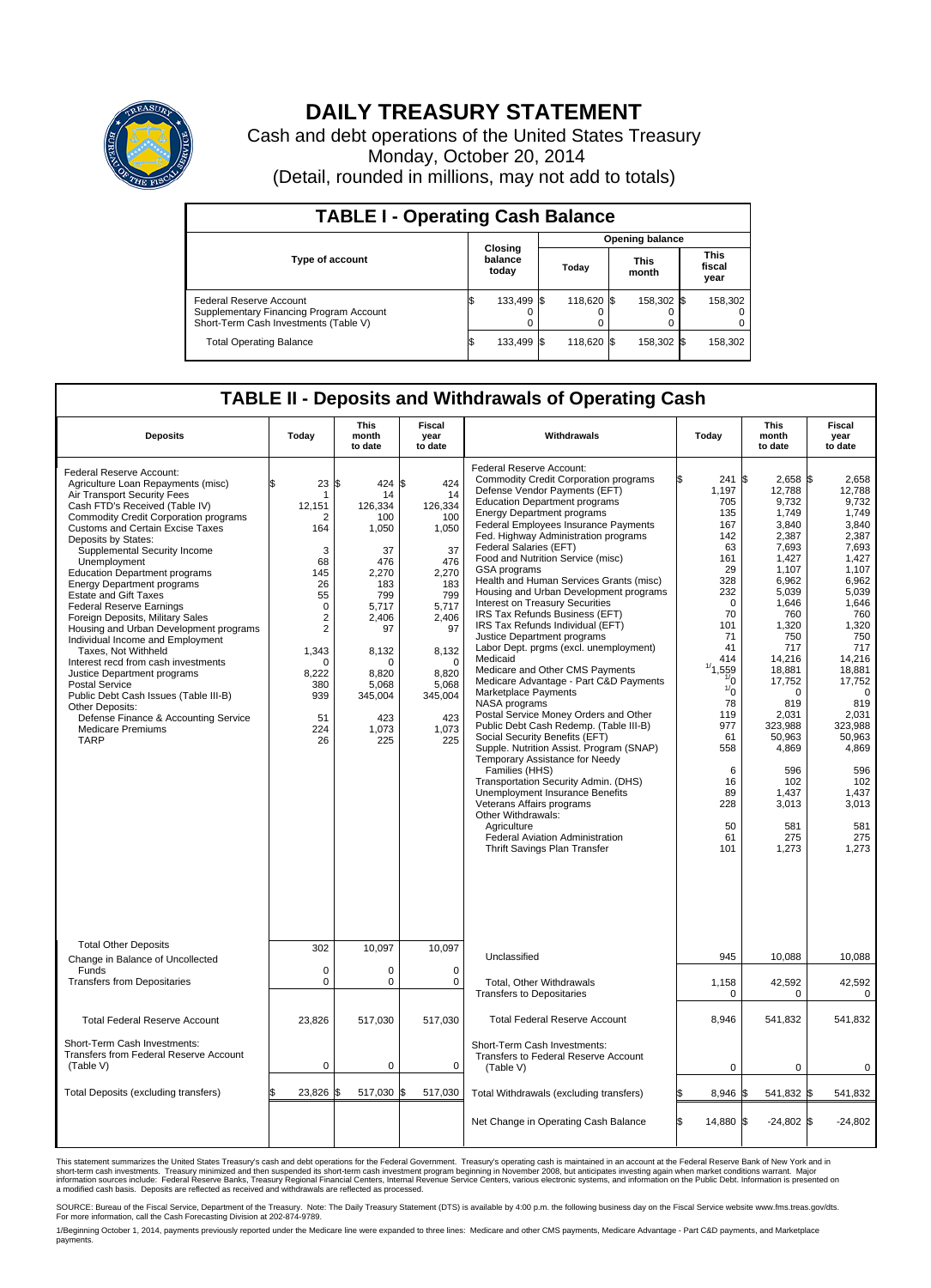

## **DAILY TREASURY STATEMENT**

Cash and debt operations of the United States Treasury Monday, October 20, 2014 (Detail, rounded in millions, may not add to totals)

| <b>TABLE I - Operating Cash Balance</b>                                                                     |  |                             |  |            |  |                      |  |                               |  |  |  |  |
|-------------------------------------------------------------------------------------------------------------|--|-----------------------------|--|------------|--|----------------------|--|-------------------------------|--|--|--|--|
| <b>Opening balance</b>                                                                                      |  |                             |  |            |  |                      |  |                               |  |  |  |  |
| <b>Type of account</b>                                                                                      |  | Closing<br>balance<br>today |  | Today      |  | <b>This</b><br>month |  | <b>This</b><br>fiscal<br>year |  |  |  |  |
| Federal Reserve Account<br>Supplementary Financing Program Account<br>Short-Term Cash Investments (Table V) |  | 133,499                     |  | 118.620 \$ |  | 158,302 \$           |  | 158,302                       |  |  |  |  |
| <b>Total Operating Balance</b>                                                                              |  | 133,499                     |  | 118,620 \$ |  | 158,302 \$           |  | 158,302                       |  |  |  |  |

## **TABLE II - Deposits and Withdrawals of Operating Cash**

| <b>Deposits</b>                                                                                                                                                                                                                                                                                                                                                                                                                                                                                                                                                                                                                                                                                                                                                                                                                   | Today                                                                                                                                                                               | <b>This</b><br>month<br>to date                                                                                                                                                 | <b>Fiscal</b><br>year<br>to date                                                                                                                                                | Withdrawals                                                                                                                                                                                                                                                                                                                                                                                                                                                                                                                                                                                                                                                                                                                                                                                                                                                                                                                                                                                                                                                                                                                                                                                                | Today                                                                                                                                                                                                                                        | <b>This</b><br>month<br>to date                                                                                                                                                                                                                                                             | Fiscal<br>year<br>to date                                                                                                                                                                                                                                                                 |
|-----------------------------------------------------------------------------------------------------------------------------------------------------------------------------------------------------------------------------------------------------------------------------------------------------------------------------------------------------------------------------------------------------------------------------------------------------------------------------------------------------------------------------------------------------------------------------------------------------------------------------------------------------------------------------------------------------------------------------------------------------------------------------------------------------------------------------------|-------------------------------------------------------------------------------------------------------------------------------------------------------------------------------------|---------------------------------------------------------------------------------------------------------------------------------------------------------------------------------|---------------------------------------------------------------------------------------------------------------------------------------------------------------------------------|------------------------------------------------------------------------------------------------------------------------------------------------------------------------------------------------------------------------------------------------------------------------------------------------------------------------------------------------------------------------------------------------------------------------------------------------------------------------------------------------------------------------------------------------------------------------------------------------------------------------------------------------------------------------------------------------------------------------------------------------------------------------------------------------------------------------------------------------------------------------------------------------------------------------------------------------------------------------------------------------------------------------------------------------------------------------------------------------------------------------------------------------------------------------------------------------------------|----------------------------------------------------------------------------------------------------------------------------------------------------------------------------------------------------------------------------------------------|---------------------------------------------------------------------------------------------------------------------------------------------------------------------------------------------------------------------------------------------------------------------------------------------|-------------------------------------------------------------------------------------------------------------------------------------------------------------------------------------------------------------------------------------------------------------------------------------------|
| Federal Reserve Account:<br>Agriculture Loan Repayments (misc)<br>Air Transport Security Fees<br>Cash FTD's Received (Table IV)<br><b>Commodity Credit Corporation programs</b><br>Customs and Certain Excise Taxes<br>Deposits by States:<br>Supplemental Security Income<br>Unemployment<br><b>Education Department programs</b><br><b>Energy Department programs</b><br><b>Estate and Gift Taxes</b><br><b>Federal Reserve Earnings</b><br>Foreign Deposits, Military Sales<br>Housing and Urban Development programs<br>Individual Income and Employment<br>Taxes, Not Withheld<br>Interest recd from cash investments<br>Justice Department programs<br><b>Postal Service</b><br>Public Debt Cash Issues (Table III-B)<br>Other Deposits:<br>Defense Finance & Accounting Service<br><b>Medicare Premiums</b><br><b>TARP</b> | 23<br>\$<br>1<br>12,151<br>2<br>164<br>3<br>68<br>145<br>26<br>55<br>$\mathbf 0$<br>$\overline{2}$<br>$\overline{2}$<br>1,343<br>$\Omega$<br>8,222<br>380<br>939<br>51<br>224<br>26 | \$<br>424<br>14<br>126,334<br>100<br>1,050<br>37<br>476<br>2,270<br>183<br>799<br>5,717<br>2,406<br>97<br>8,132<br>$\Omega$<br>8,820<br>5,068<br>345,004<br>423<br>1,073<br>225 | \$<br>424<br>14<br>126,334<br>100<br>1,050<br>37<br>476<br>2,270<br>183<br>799<br>5,717<br>2,406<br>97<br>8,132<br>$\Omega$<br>8,820<br>5,068<br>345,004<br>423<br>1,073<br>225 | Federal Reserve Account:<br><b>Commodity Credit Corporation programs</b><br>Defense Vendor Payments (EFT)<br><b>Education Department programs</b><br><b>Energy Department programs</b><br><b>Federal Employees Insurance Payments</b><br>Fed. Highway Administration programs<br>Federal Salaries (EFT)<br>Food and Nutrition Service (misc)<br>GSA programs<br>Health and Human Services Grants (misc)<br>Housing and Urban Development programs<br>Interest on Treasury Securities<br>IRS Tax Refunds Business (EFT)<br>IRS Tax Refunds Individual (EFT)<br>Justice Department programs<br>Labor Dept. prgms (excl. unemployment)<br>Medicaid<br>Medicare and Other CMS Payments<br>Medicare Advantage - Part C&D Payments<br>Marketplace Payments<br>NASA programs<br>Postal Service Money Orders and Other<br>Public Debt Cash Redemp. (Table III-B)<br>Social Security Benefits (EFT)<br>Supple. Nutrition Assist. Program (SNAP)<br>Temporary Assistance for Needy<br>Families (HHS)<br>Transportation Security Admin. (DHS)<br>Unemployment Insurance Benefits<br>Veterans Affairs programs<br>Other Withdrawals:<br>Agriculture<br>Federal Aviation Administration<br>Thrift Savings Plan Transfer | 241S<br>1,197<br>705<br>135<br>167<br>142<br>63<br>161<br>29<br>328<br>232<br>$\Omega$<br>70<br>101<br>71<br>41<br>414<br>,559<br>$\frac{1}{0}$<br>$\frac{1}{0}$<br>78<br>119<br>977<br>61<br>558<br>6<br>16<br>89<br>228<br>50<br>61<br>101 | $2,658$ \$<br>12,788<br>9,732<br>1,749<br>3.840<br>2,387<br>7,693<br>1,427<br>1.107<br>6,962<br>5,039<br>1,646<br>760<br>1,320<br>750<br>717<br>14,216<br>18,881<br>17,752<br>$\Omega$<br>819<br>2,031<br>323,988<br>50,963<br>4,869<br>596<br>102<br>1,437<br>3,013<br>581<br>275<br>1,273 | 2,658<br>12,788<br>9,732<br>1,749<br>3.840<br>2,387<br>7,693<br>1,427<br>1.107<br>6,962<br>5,039<br>1,646<br>760<br>1,320<br>750<br>717<br>14,216<br>18.881<br>17,752<br>$\mathbf 0$<br>819<br>2,031<br>323.988<br>50,963<br>4,869<br>596<br>102<br>1,437<br>3,013<br>581<br>275<br>1,273 |
| <b>Total Other Deposits</b><br>Change in Balance of Uncollected                                                                                                                                                                                                                                                                                                                                                                                                                                                                                                                                                                                                                                                                                                                                                                   | 302                                                                                                                                                                                 | 10,097                                                                                                                                                                          | 10,097                                                                                                                                                                          | Unclassified                                                                                                                                                                                                                                                                                                                                                                                                                                                                                                                                                                                                                                                                                                                                                                                                                                                                                                                                                                                                                                                                                                                                                                                               | 945                                                                                                                                                                                                                                          | 10,088                                                                                                                                                                                                                                                                                      | 10,088                                                                                                                                                                                                                                                                                    |
| Funds<br><b>Transfers from Depositaries</b>                                                                                                                                                                                                                                                                                                                                                                                                                                                                                                                                                                                                                                                                                                                                                                                       | $\mathbf 0$<br>$\mathbf 0$                                                                                                                                                          | 0<br>0                                                                                                                                                                          | $\mathbf 0$<br>$\mathbf 0$                                                                                                                                                      | Total, Other Withdrawals<br><b>Transfers to Depositaries</b>                                                                                                                                                                                                                                                                                                                                                                                                                                                                                                                                                                                                                                                                                                                                                                                                                                                                                                                                                                                                                                                                                                                                               | 1,158<br>$\Omega$                                                                                                                                                                                                                            | 42,592<br>$\Omega$                                                                                                                                                                                                                                                                          | 42,592<br>$\Omega$                                                                                                                                                                                                                                                                        |
| <b>Total Federal Reserve Account</b>                                                                                                                                                                                                                                                                                                                                                                                                                                                                                                                                                                                                                                                                                                                                                                                              | 23,826                                                                                                                                                                              | 517,030                                                                                                                                                                         | 517,030                                                                                                                                                                         | <b>Total Federal Reserve Account</b>                                                                                                                                                                                                                                                                                                                                                                                                                                                                                                                                                                                                                                                                                                                                                                                                                                                                                                                                                                                                                                                                                                                                                                       | 8,946                                                                                                                                                                                                                                        | 541,832                                                                                                                                                                                                                                                                                     | 541,832                                                                                                                                                                                                                                                                                   |
| Short-Term Cash Investments:<br>Transfers from Federal Reserve Account<br>(Table V)                                                                                                                                                                                                                                                                                                                                                                                                                                                                                                                                                                                                                                                                                                                                               | $\pmb{0}$                                                                                                                                                                           | 0                                                                                                                                                                               | $\mathbf 0$                                                                                                                                                                     | Short-Term Cash Investments:<br>Transfers to Federal Reserve Account<br>(Table V)                                                                                                                                                                                                                                                                                                                                                                                                                                                                                                                                                                                                                                                                                                                                                                                                                                                                                                                                                                                                                                                                                                                          | $\mathbf 0$                                                                                                                                                                                                                                  | 0                                                                                                                                                                                                                                                                                           | 0                                                                                                                                                                                                                                                                                         |
| Total Deposits (excluding transfers)                                                                                                                                                                                                                                                                                                                                                                                                                                                                                                                                                                                                                                                                                                                                                                                              | 23,826                                                                                                                                                                              | 517,030 \$<br>\$                                                                                                                                                                | 517,030                                                                                                                                                                         | Total Withdrawals (excluding transfers)                                                                                                                                                                                                                                                                                                                                                                                                                                                                                                                                                                                                                                                                                                                                                                                                                                                                                                                                                                                                                                                                                                                                                                    | 8,946                                                                                                                                                                                                                                        | 541,832 \$                                                                                                                                                                                                                                                                                  | 541,832                                                                                                                                                                                                                                                                                   |
|                                                                                                                                                                                                                                                                                                                                                                                                                                                                                                                                                                                                                                                                                                                                                                                                                                   |                                                                                                                                                                                     |                                                                                                                                                                                 |                                                                                                                                                                                 | Net Change in Operating Cash Balance                                                                                                                                                                                                                                                                                                                                                                                                                                                                                                                                                                                                                                                                                                                                                                                                                                                                                                                                                                                                                                                                                                                                                                       | Ŝ.<br>14,880 \$                                                                                                                                                                                                                              | $-24,802$ \$                                                                                                                                                                                                                                                                                | $-24,802$                                                                                                                                                                                                                                                                                 |

This statement summarizes the United States Treasury's cash and debt operations for the Federal Government. Treasury's operating cash is maintained in an account at the Federal Reserve Bank of New York and in<br>short-term ca

SOURCE: Bureau of the Fiscal Service, Department of the Treasury. Note: The Daily Treasury Statement (DTS) is available by 4:00 p.m. the following business day on the Fiscal Service website www.fms.treas.gov/dts.<br>For more

1/Beginning October 1, 2014, payments previously reported under the Medicare line were expanded to three lines: Medicare and other CMS payments, Medicare Advantage - Part C&D payments, and Marketplace payments.